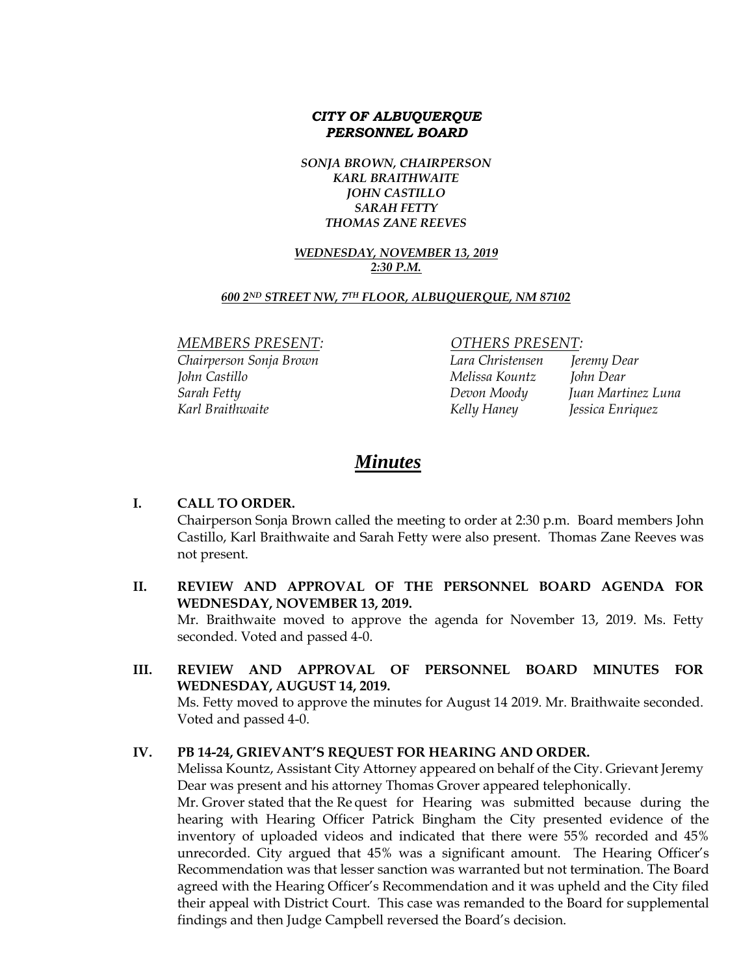### *CITY OF ALBUQUERQUE PERSONNEL BOARD*

*SONJA BROWN, CHAIRPERSON KARL BRAITHWAITE JOHN CASTILLO SARAH FETTY THOMAS ZANE REEVES*

#### *WEDNESDAY, NOVEMBER 13, 2019 2:30 P.M.*

#### *600 2ND STREET NW, 7TH FLOOR, ALBUQUERQUE, NM 87102*

*MEMBERS PRESENT: OTHERS PRESENT:*

*Chairperson Sonja Brown Lara Christensen Jeremy Dear John Castillo Melissa Kountz John Dear Sarah Fetty Devon Moody Juan Martinez Luna Karl Braithwaite Kelly Haney Jessica Enriquez*

# *Minutes*

#### **I. CALL TO ORDER.**

Chairperson Sonja Brown called the meeting to order at 2:30 p.m. Board members John Castillo, Karl Braithwaite and Sarah Fetty were also present. Thomas Zane Reeves was not present.

- **II. REVIEW AND APPROVAL OF THE PERSONNEL BOARD AGENDA FOR WEDNESDAY, NOVEMBER 13, 2019.** Mr. Braithwaite moved to approve the agenda for November 13, 2019. Ms. Fetty seconded. Voted and passed 4-0.
- **III. REVIEW AND APPROVAL OF PERSONNEL BOARD MINUTES FOR WEDNESDAY, AUGUST 14, 2019.**

Ms. Fetty moved to approve the minutes for August 14 2019. Mr. Braithwaite seconded. Voted and passed 4-0.

#### **IV. PB 14-24, GRIEVANT'S REQUEST FOR HEARING AND ORDER.**

Melissa Kountz, Assistant City Attorney appeared on behalf of the City. Grievant Jeremy Dear was present and his attorney Thomas Grover appeared telephonically.

Mr. Grover stated that the Re quest for Hearing was submitted because during the hearing with Hearing Officer Patrick Bingham the City presented evidence of the inventory of uploaded videos and indicated that there were 55% recorded and 45% unrecorded. City argued that 45% was a significant amount. The Hearing Officer's Recommendation was that lesser sanction was warranted but not termination. The Board agreed with the Hearing Officer's Recommendation and it was upheld and the City filed their appeal with District Court. This case was remanded to the Board for supplemental findings and then Judge Campbell reversed the Board's decision.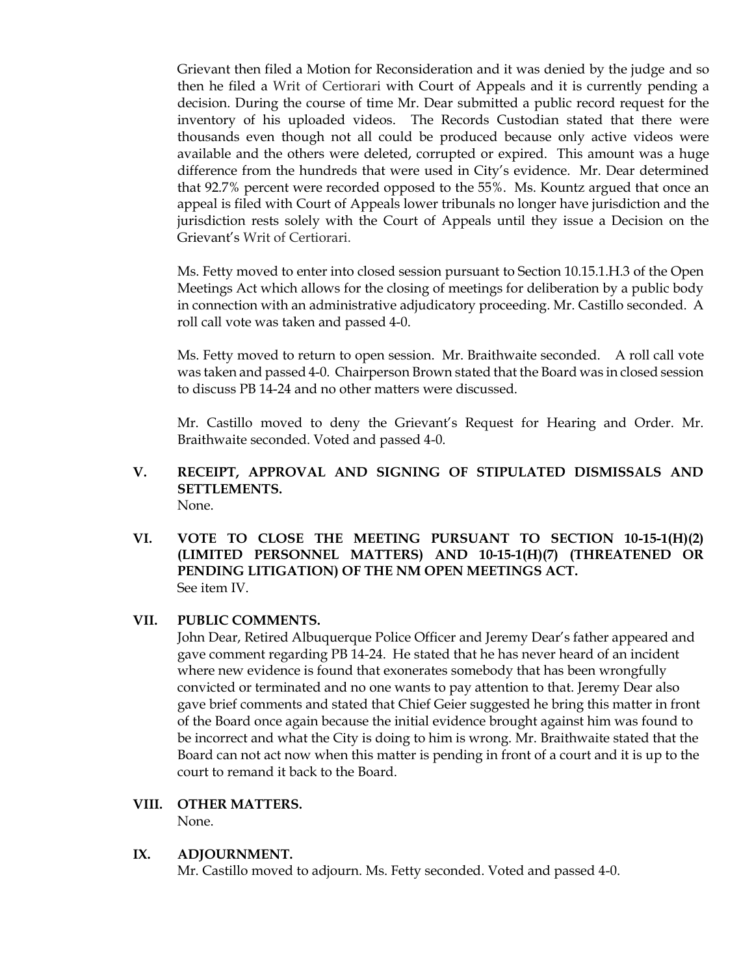Grievant then filed a Motion for Reconsideration and it was denied by the judge and so then he filed a Writ of Certiorari with Court of Appeals and it is currently pending a decision. During the course of time Mr. Dear submitted a public record request for the inventory of his uploaded videos. The Records Custodian stated that there were thousands even though not all could be produced because only active videos were available and the others were deleted, corrupted or expired. This amount was a huge difference from the hundreds that were used in City's evidence. Mr. Dear determined that 92.7% percent were recorded opposed to the 55%. Ms. Kountz argued that once an appeal is filed with Court of Appeals lower tribunals no longer have jurisdiction and the jurisdiction rests solely with the Court of Appeals until they issue a Decision on the Grievant's Writ of Certiorari.

Ms. Fetty moved to enter into closed session pursuant to Section 10.15.1.H.3 of the Open Meetings Act which allows for the closing of meetings for deliberation by a public body in connection with an administrative adjudicatory proceeding. Mr. Castillo seconded. A roll call vote was taken and passed 4-0.

Ms. Fetty moved to return to open session. Mr. Braithwaite seconded. A roll call vote was taken and passed 4-0. Chairperson Brown stated that the Board was in closed session to discuss PB 14-24 and no other matters were discussed.

Mr. Castillo moved to deny the Grievant's Request for Hearing and Order. Mr. Braithwaite seconded. Voted and passed 4-0.

- **V. RECEIPT, APPROVAL AND SIGNING OF STIPULATED DISMISSALS AND SETTLEMENTS.** None.
- **VI. VOTE TO CLOSE THE MEETING PURSUANT TO SECTION 10-15-1(H)(2) (LIMITED PERSONNEL MATTERS) AND 10-15-1(H)(7) (THREATENED OR PENDING LITIGATION) OF THE NM OPEN MEETINGS ACT.** See item IV.

#### **VII. PUBLIC COMMENTS.**

John Dear, Retired Albuquerque Police Officer and Jeremy Dear's father appeared and gave comment regarding PB 14-24. He stated that he has never heard of an incident where new evidence is found that exonerates somebody that has been wrongfully convicted or terminated and no one wants to pay attention to that. Jeremy Dear also gave brief comments and stated that Chief Geier suggested he bring this matter in front of the Board once again because the initial evidence brought against him was found to be incorrect and what the City is doing to him is wrong. Mr. Braithwaite stated that the Board can not act now when this matter is pending in front of a court and it is up to the court to remand it back to the Board.

#### **VIII. OTHER MATTERS.**

None.

#### **IX. ADJOURNMENT.**

Mr. Castillo moved to adjourn. Ms. Fetty seconded. Voted and passed 4-0.